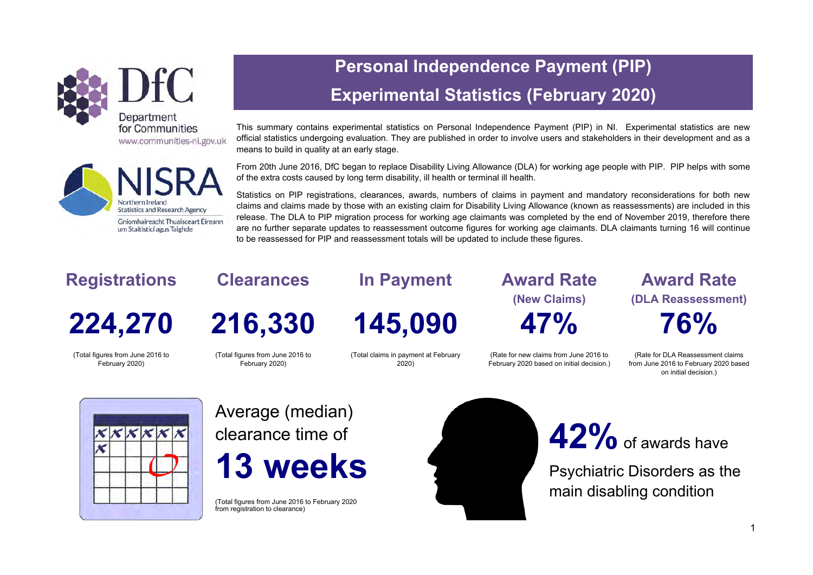



# **Personal Independence Payment (PIP) Experimental Statistics (February 2020)**

This summary contains experimental statistics on Personal Independence Payment (PIP) in NI. Experimental statistics are new official statistics undergoing evaluation. They are published in order to involve users and stakeholders in their development and as a means to build in quality at an early stage.

From 20th June 2016, DfC began to replace Disability Living Allowance (DLA) for working age people with PIP. PIP helps with some of the extra costs caused by long term disability, ill health or terminal ill health.

Statistics on PIP registrations, clearances, awards, numbers of claims in payment and mandatory reconsiderations for both new claims and claims made by those with an existing claim for Disability Living Allowance (known as reassessments) are included in this release. The DLA to PIP migration process for working age claimants was completed by the end of November 2019, therefore there are no further separate updates to reassessment outcome figures for working age claimants. DLA claimants turning 16 will continue to be reassessed for PIP and reassessment totals will be updated to include these figures.

# **Registrations**

**224,270** 

(Total figures from June 2016 to February 2020)

**Clearances** 

**216,330**

(Total figures from June 2016 to February 2020)

**In Payment** 

**145,090** 

(Total claims in payment at February 2020)

**Award Rate (New Claims) 47%** 

(Rate for new claims from June 2016 to February 2020 based on initial decision.)

**Award Rate (DLA Reassessment) 76%**

(Rate for DLA Reassessment claims from June 2016 to February 2020 based on initial decision.)



Average (median) clearance time of **13 weeks** 

(Total figures from June 2016 to February 2020 from registration to clearance)



# **42%** of awards have

Psychiatric Disorders as the main disabling condition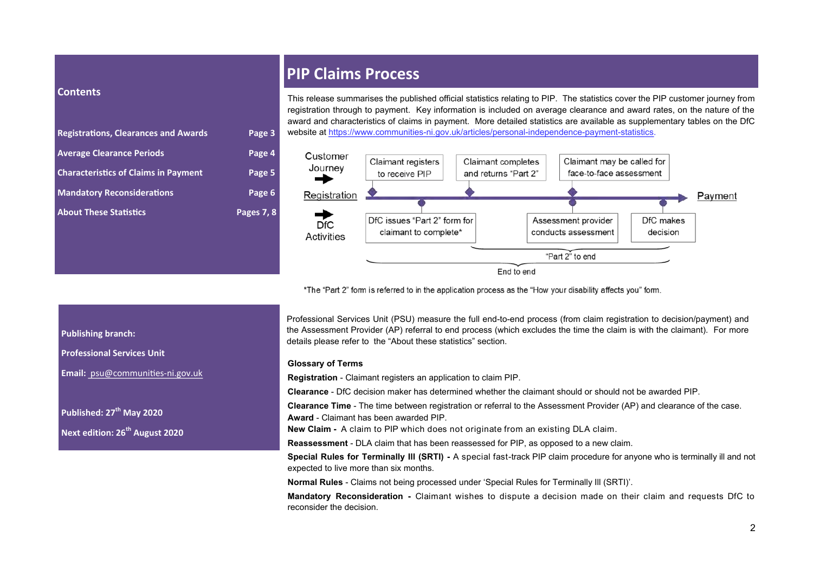#### **Contents**

| <b>Registrations, Clearances and Awards</b> | Page 3     |
|---------------------------------------------|------------|
| <b>Average Clearance Periods</b>            | Page 4     |
| <b>Characteristics of Claims in Payment</b> | Page 5     |
| <b>Mandatory Reconsiderations</b>           | Page 6     |
| <b>About These Statistics</b>               | Pages 7, 8 |

### **PIP Claims Process**

This release summarises the published official statistics relating to PIP. The statistics cover the PIP customer journey from registration through to payment. Key information is included on average clearance and award rates, on the nature of the award and characteristics of claims in payment. More detailed statistics are available as supplementary tables on the DfC website at https://www.communities-ni.gov.uk/articles/personal-independence-payment-statistics.



\*The "Part 2" form is referred to in the application process as the "How your disability affects you" form.

Professional Services Unit (PSU) measure the full end-to-end process (from claim registration to decision/payment) and the Assessment Provider (AP) referral to end process (which excludes the time the claim is with the claimant). For more details please refer to the "About these statistics" section.

#### **Glossary of Terms**

**Registration** - Claimant registers an application to claim PIP.

**Clearance** - DfC decision maker has determined whether the claimant should or should not be awarded PIP.

**Clearance Time** - The time between registration or referral to the Assessment Provider (AP) and clearance of the case. **Award** - Claimant has been awarded PIP.

**New Claim -** A claim to PIP which does not originate from an existing DLA claim.

**Reassessment** - DLA claim that has been reassessed for PIP, as opposed to a new claim.

**Special Rules for Terminally Ill (SRTI) -** A special fast-track PIP claim procedure for anyone who is terminally ill and not expected to live more than six months.

**Normal Rules** - Claims not being processed under 'Special Rules for Terminally Ill (SRTI)'.

**Mandatory Reconsideration -** Claimant wishes to dispute a decision made on their claim and requests DfC to reconsider the decision.

#### **Publishing branch:**

**Professional Services Unit**

**Email:** [psu@communities](mailto:asu@communities-ni.gov.uk?subject=PIP%20Statistics)-ni.gov.uk

**Published: 27th May 2020 Next edition: 26th August 2020**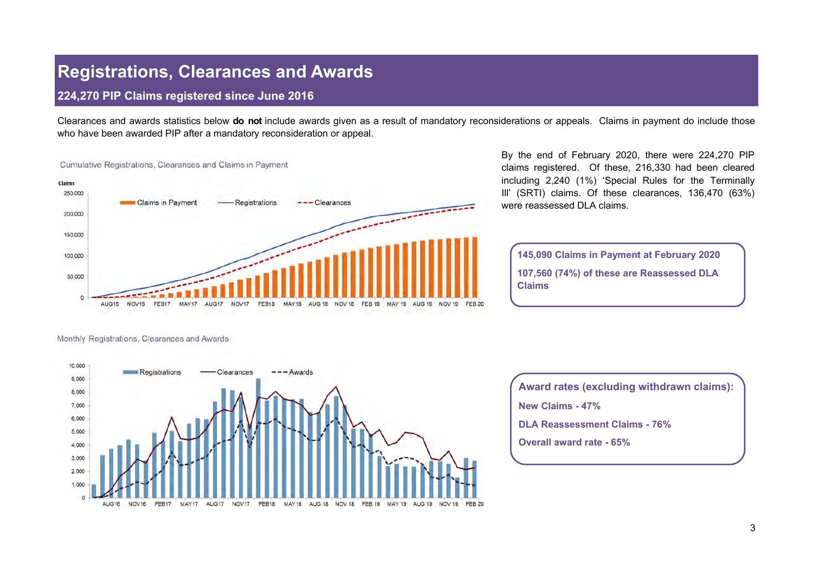### **Registrations, Clearances and Awards**

#### **224,270 PIP Claims registered since June 2016**

Clearances and awards statistics below **do not** include awards given as a result of mandatory reconsiderations or appeals. Claims in payment do include those who have been awarded PIP after a mandatory reconsideration or appeal.



By the end of February 2020, there were 224,270 PIP claims registered. Of these, 216,330 had been cleared including 2,240 (1%) 'Special Rules for the Terminally Ill' (SRTI) claims. Of these clearances, 136,470 (63%) were reassessed DLA claims.

**145,090 Claims in Payment at February 2020 107,560 (74%) of these are Reassessed DLA Claims** 

#### Monthly Registrations, Clearances and Awards



**Award rates (excluding withdrawn claims): New Claims - 47% DLA Reassessment Claims - 76% Overall award rate - 65%**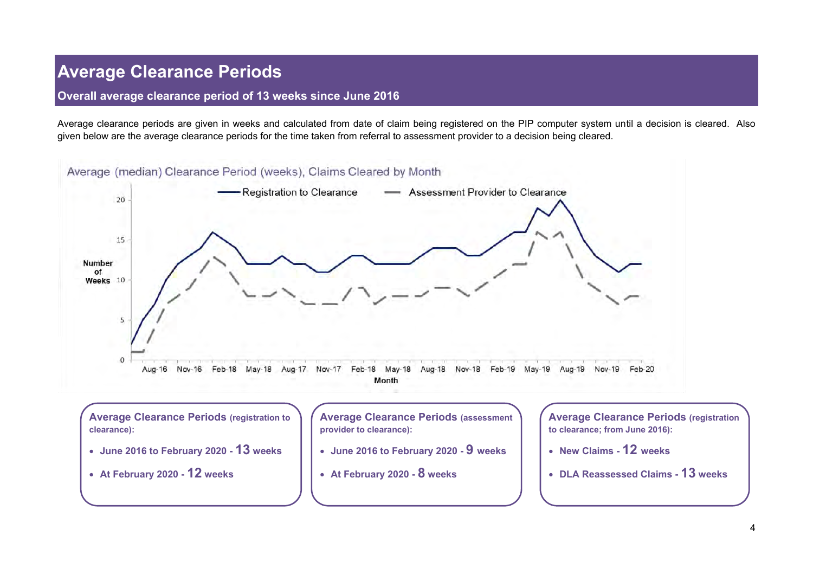## **Average Clearance Periods**

#### **Overall average clearance period of 13 weeks since June 2016**

Average clearance periods are given in weeks and calculated from date of claim being registered on the PIP computer system until a decision is cleared. Also given below are the average clearance periods for the time taken from referral to assessment provider to a decision being cleared.

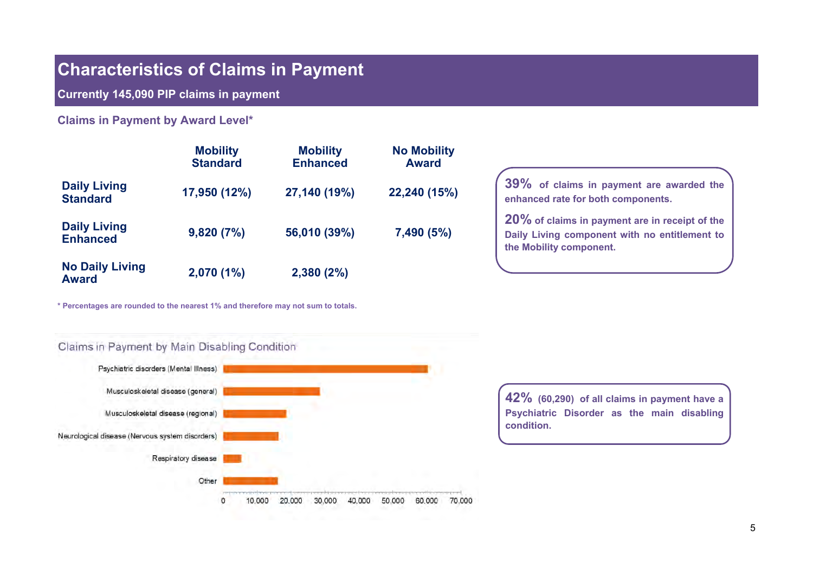### **Characteristics of Claims in Payment**

**Currently 145,090 PIP claims in payment** 

**Claims in Payment by Award Level\*** 

|                                        | <b>Mobility</b><br><b>Standard</b> | <b>Mobility</b><br><b>Enhanced</b> | <b>No Mobility</b><br><b>Award</b> |
|----------------------------------------|------------------------------------|------------------------------------|------------------------------------|
| <b>Daily Living</b><br><b>Standard</b> | 17,950 (12%)                       | 27,140 (19%)                       | 22,240 (15%)                       |
| <b>Daily Living</b><br><b>Enhanced</b> | 9,820(7%)                          | 56,010 (39%)                       | 7,490 (5%)                         |
| <b>No Daily Living</b><br><b>Award</b> | 2,070 (1%)                         | 2,380(2%)                          |                                    |

**\* Percentages are rounded to the nearest 1% and therefore may not sum to totals.**



**20% of claims in payment are in receipt of the Daily Living component with no entitlement to the Mobility component.** 



**42% (60,290) of all claims in payment have a Psychiatric Disorder as the main disabling condition.**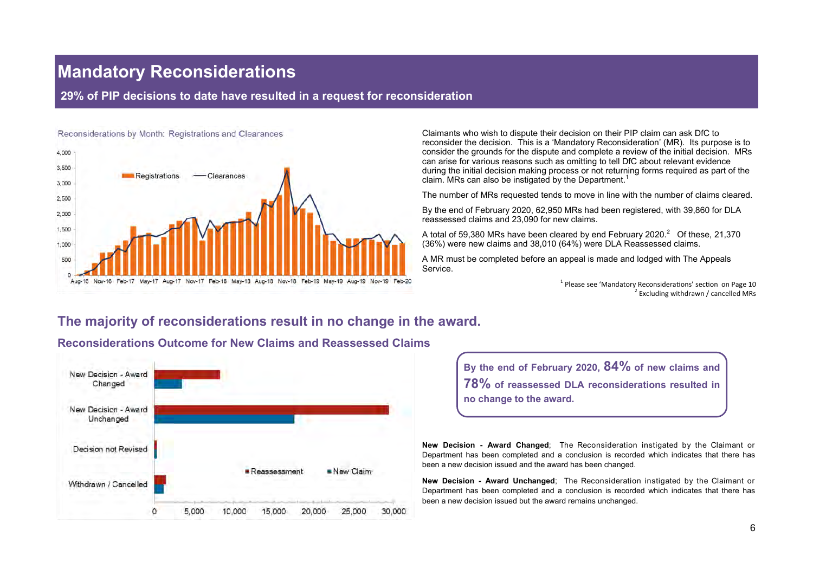### **Mandatory Reconsiderations**

### **29% of PIP decisions to date have resulted in a request for reconsideration**



Claimants who wish to dispute their decision on their PIP claim can ask DfC to reconsider the decision. This is a 'Mandatory Reconsideration' (MR). Its purpose is to consider the grounds for the dispute and complete a review of the initial decision. MRs can arise for various reasons such as omitting to tell DfC about relevant evidence during the initial decision making process or not returning forms required as part of the claim. MRs can also be instigated by the Department.<sup>1</sup>

The number of MRs requested tends to move in line with the number of claims cleared.

By the end of February 2020, 62,950 MRs had been registered, with 39,860 for DLA reassessed claims and 23,090 for new claims.

A total of 59,380 MRs have been cleared by end February 2020. $^2$  Of these, 21,370 (36%) were new claims and 38,010 (64%) were DLA Reassessed claims.

A MR must be completed before an appeal is made and lodged with The Appeals Service.

> <sup>1</sup> Please see 'Mandatory Reconsiderations' section on Page 10 <sup>2</sup> Excluding withdrawn / cancelled MRs

### **The majority of reconsiderations result in no change in the award.**



### **Reconsiderations Outcome for New Claims and Reassessed Claims**

**By the end of February 2020, 84% of new claims and 78% of reassessed DLA reconsiderations resulted in no change to the award.** 

**New Decision - Award Changed**; The Reconsideration instigated by the Claimant or Department has been completed and a conclusion is recorded which indicates that there has been a new decision issued and the award has been changed.

**New Decision - Award Unchanged**; The Reconsideration instigated by the Claimant or Department has been completed and a conclusion is recorded which indicates that there has been a new decision issued but the award remains unchanged.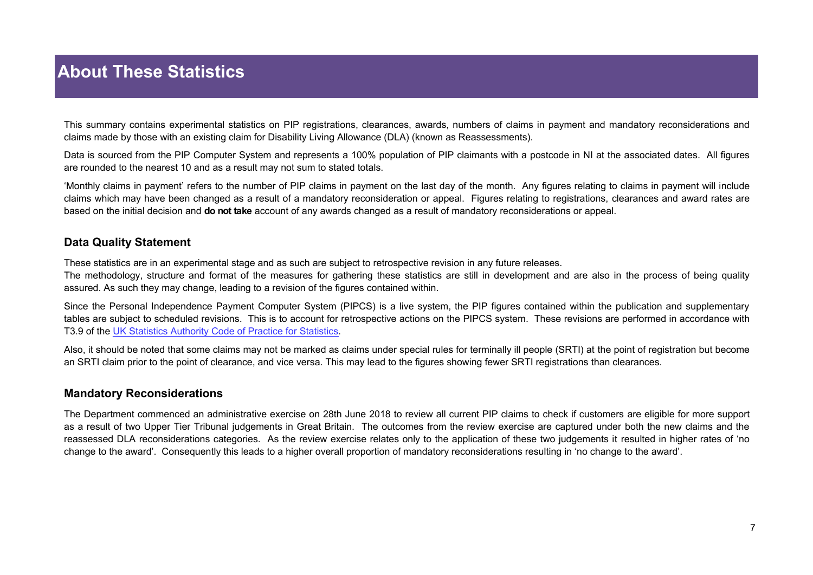# **About These Statistics**

This summary contains experimental statistics on PIP registrations, clearances, awards, numbers of claims in payment and mandatory reconsiderations and claims made by those with an existing claim for Disability Living Allowance (DLA) (known as Reassessments).

Data is sourced from the PIP Computer System and represents a 100% population of PIP claimants with a postcode in NI at the associated dates. All figures are rounded to the nearest 10 and as a result may not sum to stated totals.

'Monthly claims in payment' refers to the number of PIP claims in payment on the last day of the month. Any figures relating to claims in payment will include claims which may have been changed as a result of a mandatory reconsideration or appeal. Figures relating to registrations, clearances and award rates are based on the initial decision and **do not take** account of any awards changed as a result of mandatory reconsiderations or appeal.

### **Data Quality Statement**

These statistics are in an experimental stage and as such are subject to retrospective revision in any future releases.

The methodology, structure and format of the measures for gathering these statistics are still in development and are also in the process of being quality assured. As such they may change, leading to a revision of the figures contained within.

Since the Personal Independence Payment Computer System (PIPCS) is a live system, the PIP figures contained within the publication and supplementary tables are subject to scheduled revisions. This is to account for retrospective actions on the PIPCS system. These revisions are performed in accordance with T3.9 of the [UK Statistics Authority Code of Practice for Statistics.](https://www.statisticsauthority.gov.uk/code-of-practice/the-code/)

Also, it should be noted that some claims may not be marked as claims under special rules for terminally ill people (SRTI) at the point of registration but become an SRTI claim prior to the point of clearance, and vice versa. This may lead to the figures showing fewer SRTI registrations than clearances.

### **Mandatory Reconsiderations**

The Department commenced an administrative exercise on 28th June 2018 to review all current PIP claims to check if customers are eligible for more support as a result of two Upper Tier Tribunal judgements in Great Britain. The outcomes from the review exercise are captured under both the new claims and the reassessed DLA reconsiderations categories. As the review exercise relates only to the application of these two judgements it resulted in higher rates of 'no change to the award'. Consequently this leads to a higher overall proportion of mandatory reconsiderations resulting in 'no change to the award'.